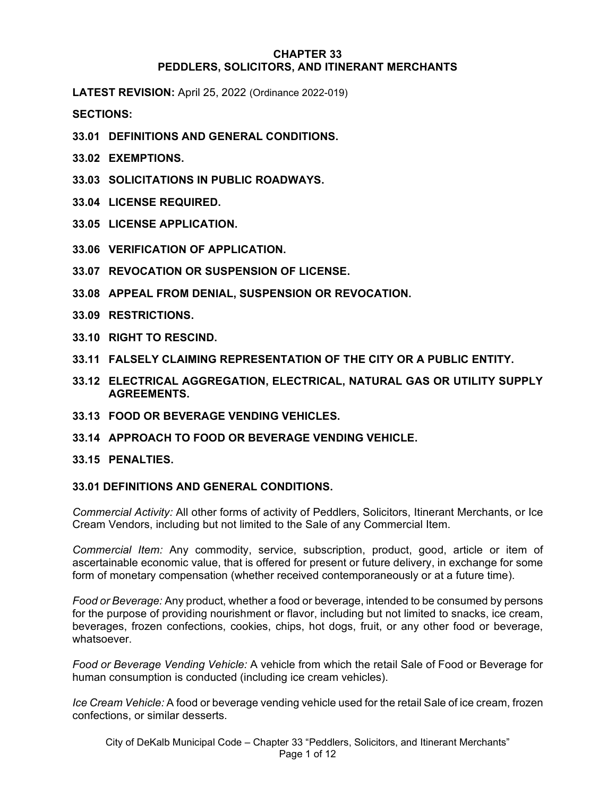#### **CHAPTER 33 PEDDLERS, SOLICITORS, AND ITINERANT MERCHANTS**

**LATEST REVISION:** April 25, 2022 (Ordinance 2022-019)

**SECTIONS:**

- **33.01 DEFINITIONS AND GENERAL CONDITIONS.**
- **33.02 EXEMPTIONS.**
- **33.03 SOLICITATIONS IN PUBLIC ROADWAYS.**
- **33.04 LICENSE REQUIRED.**
- **33.05 LICENSE APPLICATION.**
- **33.06 VERIFICATION OF APPLICATION.**
- **33.07 REVOCATION OR SUSPENSION OF LICENSE.**
- **33.08 APPEAL FROM DENIAL, SUSPENSION OR REVOCATION.**
- **33.09 RESTRICTIONS.**
- **33.10 RIGHT TO RESCIND.**
- **33.11 FALSELY CLAIMING REPRESENTATION OF THE CITY OR A PUBLIC ENTITY.**
- **33.12 ELECTRICAL AGGREGATION, ELECTRICAL, NATURAL GAS OR UTILITY SUPPLY AGREEMENTS.**
- **33.13 FOOD OR BEVERAGE VENDING VEHICLES.**
- **33.14 APPROACH TO FOOD OR BEVERAGE VENDING VEHICLE.**

### **33.15 PENALTIES.**

### **33.01 DEFINITIONS AND GENERAL CONDITIONS.**

*Commercial Activity:* All other forms of activity of Peddlers, Solicitors, Itinerant Merchants, or Ice Cream Vendors, including but not limited to the Sale of any Commercial Item.

*Commercial Item:* Any commodity, service, subscription, product, good, article or item of ascertainable economic value, that is offered for present or future delivery, in exchange for some form of monetary compensation (whether received contemporaneously or at a future time).

*Food or Beverage:* Any product, whether a food or beverage, intended to be consumed by persons for the purpose of providing nourishment or flavor, including but not limited to snacks, ice cream, beverages, frozen confections, cookies, chips, hot dogs, fruit, or any other food or beverage, whatsoever.

*Food or Beverage Vending Vehicle:* A vehicle from which the retail Sale of Food or Beverage for human consumption is conducted (including ice cream vehicles).

*Ice Cream Vehicle:* A food or beverage vending vehicle used for the retail Sale of ice cream, frozen confections, or similar desserts.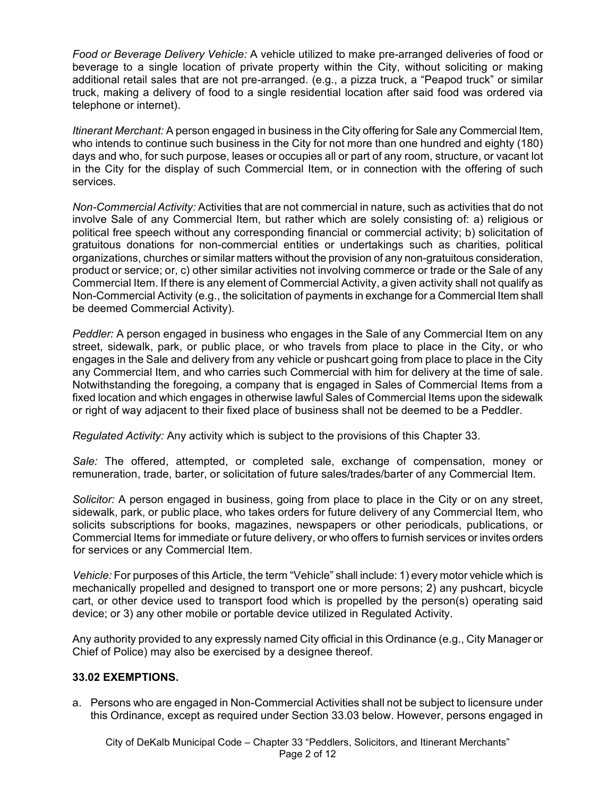*Food or Beverage Delivery Vehicle:* A vehicle utilized to make pre-arranged deliveries of food or beverage to a single location of private property within the City, without soliciting or making additional retail sales that are not pre-arranged. (e.g., a pizza truck, a "Peapod truck" or similar truck, making a delivery of food to a single residential location after said food was ordered via telephone or internet).

*Itinerant Merchant:* A person engaged in business in the City offering for Sale any Commercial Item, who intends to continue such business in the City for not more than one hundred and eighty (180) days and who, for such purpose, leases or occupies all or part of any room, structure, or vacant lot in the City for the display of such Commercial Item, or in connection with the offering of such services.

*Non-Commercial Activity:* Activities that are not commercial in nature, such as activities that do not involve Sale of any Commercial Item, but rather which are solely consisting of: a) religious or political free speech without any corresponding financial or commercial activity; b) solicitation of gratuitous donations for non-commercial entities or undertakings such as charities, political organizations, churches or similar matters without the provision of any non-gratuitous consideration, product or service; or, c) other similar activities not involving commerce or trade or the Sale of any Commercial Item. If there is any element of Commercial Activity, a given activity shall not qualify as Non-Commercial Activity (e.g., the solicitation of payments in exchange for a Commercial Item shall be deemed Commercial Activity).

*Peddler:* A person engaged in business who engages in the Sale of any Commercial Item on any street, sidewalk, park, or public place, or who travels from place to place in the City, or who engages in the Sale and delivery from any vehicle or pushcart going from place to place in the City any Commercial Item, and who carries such Commercial with him for delivery at the time of sale. Notwithstanding the foregoing, a company that is engaged in Sales of Commercial Items from a fixed location and which engages in otherwise lawful Sales of Commercial Items upon the sidewalk or right of way adjacent to their fixed place of business shall not be deemed to be a Peddler.

*Regulated Activity:* Any activity which is subject to the provisions of this Chapter 33.

*Sale:* The offered, attempted, or completed sale, exchange of compensation, money or remuneration, trade, barter, or solicitation of future sales/trades/barter of any Commercial Item.

*Solicitor:* A person engaged in business, going from place to place in the City or on any street, sidewalk, park, or public place, who takes orders for future delivery of any Commercial Item, who solicits subscriptions for books, magazines, newspapers or other periodicals, publications, or Commercial Items for immediate or future delivery, or who offers to furnish services or invites orders for services or any Commercial Item.

*Vehicle:* For purposes of this Article, the term "Vehicle" shall include: 1) every motor vehicle which is mechanically propelled and designed to transport one or more persons; 2) any pushcart, bicycle cart, or other device used to transport food which is propelled by the person(s) operating said device; or 3) any other mobile or portable device utilized in Regulated Activity.

Any authority provided to any expressly named City official in this Ordinance (e.g., City Manager or Chief of Police) may also be exercised by a designee thereof.

# **33.02 EXEMPTIONS.**

a. Persons who are engaged in Non-Commercial Activities shall not be subject to licensure under this Ordinance, except as required under Section 33.03 below. However, persons engaged in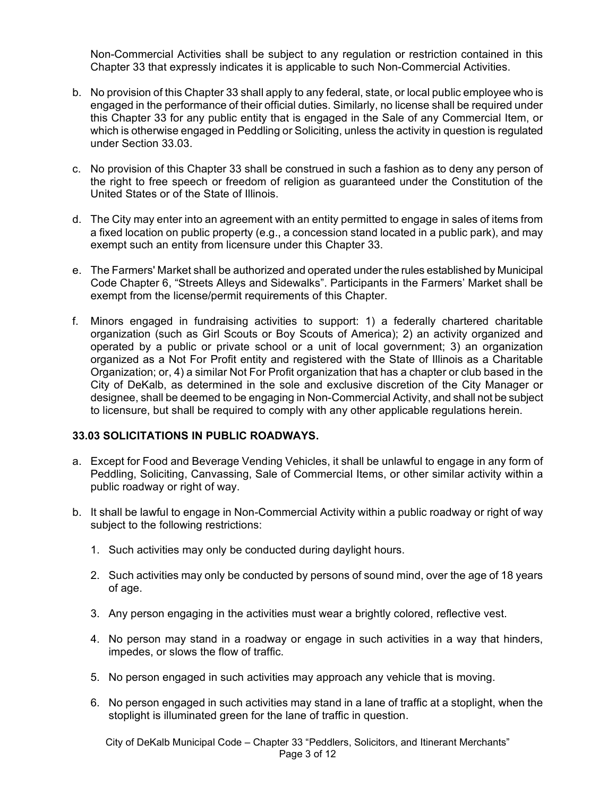Non-Commercial Activities shall be subject to any regulation or restriction contained in this Chapter 33 that expressly indicates it is applicable to such Non-Commercial Activities.

- b. No provision of this Chapter 33 shall apply to any federal, state, or local public employee who is engaged in the performance of their official duties. Similarly, no license shall be required under this Chapter 33 for any public entity that is engaged in the Sale of any Commercial Item, or which is otherwise engaged in Peddling or Soliciting, unless the activity in question is regulated under Section 33.03.
- c. No provision of this Chapter 33 shall be construed in such a fashion as to deny any person of the right to free speech or freedom of religion as guaranteed under the Constitution of the United States or of the State of Illinois.
- d. The City may enter into an agreement with an entity permitted to engage in sales of items from a fixed location on public property (e.g., a concession stand located in a public park), and may exempt such an entity from licensure under this Chapter 33.
- e. The Farmers' Market shall be authorized and operated under the rules established by Municipal Code Chapter 6, "Streets Alleys and Sidewalks". Participants in the Farmers' Market shall be exempt from the license/permit requirements of this Chapter.
- f. Minors engaged in fundraising activities to support: 1) a federally chartered charitable organization (such as Girl Scouts or Boy Scouts of America); 2) an activity organized and operated by a public or private school or a unit of local government; 3) an organization organized as a Not For Profit entity and registered with the State of Illinois as a Charitable Organization; or, 4) a similar Not For Profit organization that has a chapter or club based in the City of DeKalb, as determined in the sole and exclusive discretion of the City Manager or designee, shall be deemed to be engaging in Non-Commercial Activity, and shall not be subject to licensure, but shall be required to comply with any other applicable regulations herein.

### **33.03 SOLICITATIONS IN PUBLIC ROADWAYS.**

- a. Except for Food and Beverage Vending Vehicles, it shall be unlawful to engage in any form of Peddling, Soliciting, Canvassing, Sale of Commercial Items, or other similar activity within a public roadway or right of way.
- b. It shall be lawful to engage in Non-Commercial Activity within a public roadway or right of way subject to the following restrictions:
	- 1. Such activities may only be conducted during daylight hours.
	- 2. Such activities may only be conducted by persons of sound mind, over the age of 18 years of age.
	- 3. Any person engaging in the activities must wear a brightly colored, reflective vest.
	- 4. No person may stand in a roadway or engage in such activities in a way that hinders, impedes, or slows the flow of traffic.
	- 5. No person engaged in such activities may approach any vehicle that is moving.
	- 6. No person engaged in such activities may stand in a lane of traffic at a stoplight, when the stoplight is illuminated green for the lane of traffic in question.

City of DeKalb Municipal Code – Chapter 33 "Peddlers, Solicitors, and Itinerant Merchants" Page 3 of 12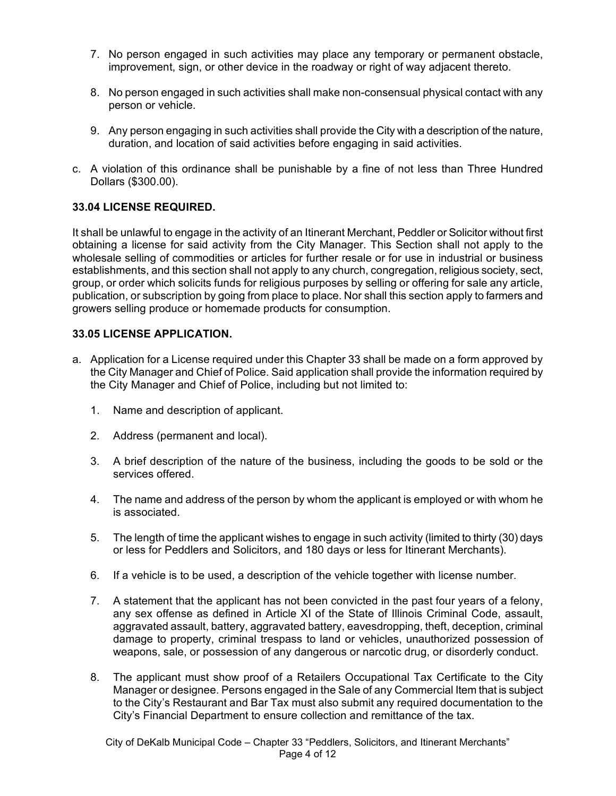- 7. No person engaged in such activities may place any temporary or permanent obstacle, improvement, sign, or other device in the roadway or right of way adjacent thereto.
- 8. No person engaged in such activities shall make non-consensual physical contact with any person or vehicle.
- 9. Any person engaging in such activities shall provide the City with a description of the nature, duration, and location of said activities before engaging in said activities.
- c. A violation of this ordinance shall be punishable by a fine of not less than Three Hundred Dollars (\$300.00).

### **33.04 LICENSE REQUIRED.**

It shall be unlawful to engage in the activity of an Itinerant Merchant, Peddler or Solicitor without first obtaining a license for said activity from the City Manager. This Section shall not apply to the wholesale selling of commodities or articles for further resale or for use in industrial or business establishments, and this section shall not apply to any church, congregation, religious society, sect, group, or order which solicits funds for religious purposes by selling or offering for sale any article, publication, or subscription by going from place to place. Nor shall this section apply to farmers and growers selling produce or homemade products for consumption.

### **33.05 LICENSE APPLICATION.**

- a. Application for a License required under this Chapter 33 shall be made on a form approved by the City Manager and Chief of Police. Said application shall provide the information required by the City Manager and Chief of Police, including but not limited to:
	- 1. Name and description of applicant.
	- 2. Address (permanent and local).
	- 3. A brief description of the nature of the business, including the goods to be sold or the services offered.
	- 4. The name and address of the person by whom the applicant is employed or with whom he is associated.
	- 5. The length of time the applicant wishes to engage in such activity (limited to thirty (30) days or less for Peddlers and Solicitors, and 180 days or less for Itinerant Merchants).
	- 6. If a vehicle is to be used, a description of the vehicle together with license number.
	- 7. A statement that the applicant has not been convicted in the past four years of a felony, any sex offense as defined in Article XI of the State of Illinois Criminal Code, assault, aggravated assault, battery, aggravated battery, eavesdropping, theft, deception, criminal damage to property, criminal trespass to land or vehicles, unauthorized possession of weapons, sale, or possession of any dangerous or narcotic drug, or disorderly conduct.
	- 8. The applicant must show proof of a Retailers Occupational Tax Certificate to the City Manager or designee. Persons engaged in the Sale of any Commercial Item that is subject to the City's Restaurant and Bar Tax must also submit any required documentation to the City's Financial Department to ensure collection and remittance of the tax.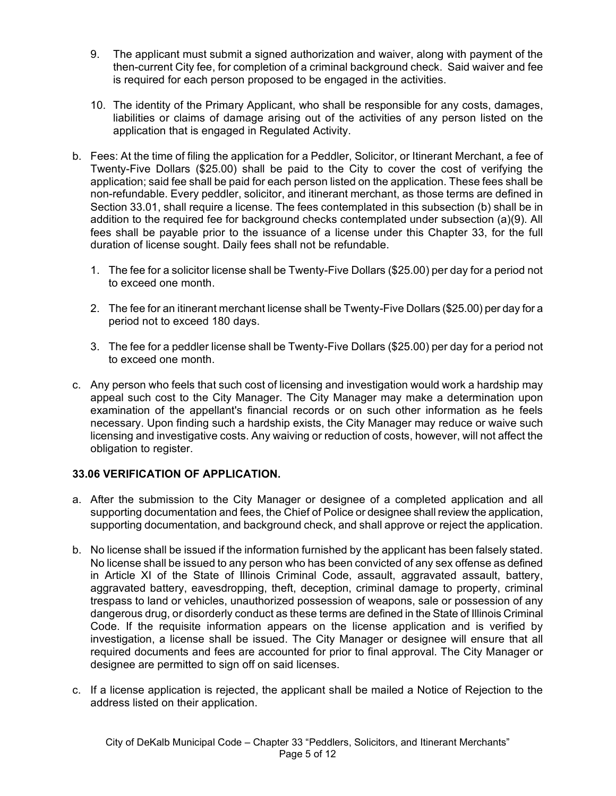- 9. The applicant must submit a signed authorization and waiver, along with payment of the then-current City fee, for completion of a criminal background check. Said waiver and fee is required for each person proposed to be engaged in the activities.
- 10. The identity of the Primary Applicant, who shall be responsible for any costs, damages, liabilities or claims of damage arising out of the activities of any person listed on the application that is engaged in Regulated Activity.
- b. Fees: At the time of filing the application for a Peddler, Solicitor, or Itinerant Merchant, a fee of Twenty-Five Dollars (\$25.00) shall be paid to the City to cover the cost of verifying the application; said fee shall be paid for each person listed on the application. These fees shall be non-refundable. Every peddler, solicitor, and itinerant merchant, as those terms are defined in Section 33.01, shall require a license. The fees contemplated in this subsection (b) shall be in addition to the required fee for background checks contemplated under subsection (a)(9). All fees shall be payable prior to the issuance of a license under this Chapter 33, for the full duration of license sought. Daily fees shall not be refundable.
	- 1. The fee for a solicitor license shall be Twenty-Five Dollars (\$25.00) per day for a period not to exceed one month.
	- 2. The fee for an itinerant merchant license shall be Twenty-Five Dollars (\$25.00) per day for a period not to exceed 180 days.
	- 3. The fee for a peddler license shall be Twenty-Five Dollars (\$25.00) per day for a period not to exceed one month.
- c. Any person who feels that such cost of licensing and investigation would work a hardship may appeal such cost to the City Manager. The City Manager may make a determination upon examination of the appellant's financial records or on such other information as he feels necessary. Upon finding such a hardship exists, the City Manager may reduce or waive such licensing and investigative costs. Any waiving or reduction of costs, however, will not affect the obligation to register.

# **33.06 VERIFICATION OF APPLICATION.**

- a. After the submission to the City Manager or designee of a completed application and all supporting documentation and fees, the Chief of Police or designee shall review the application, supporting documentation, and background check, and shall approve or reject the application.
- b. No license shall be issued if the information furnished by the applicant has been falsely stated. No license shall be issued to any person who has been convicted of any sex offense as defined in Article XI of the State of Illinois Criminal Code, assault, aggravated assault, battery, aggravated battery, eavesdropping, theft, deception, criminal damage to property, criminal trespass to land or vehicles, unauthorized possession of weapons, sale or possession of any dangerous drug, or disorderly conduct as these terms are defined in the State of Illinois Criminal Code. If the requisite information appears on the license application and is verified by investigation, a license shall be issued. The City Manager or designee will ensure that all required documents and fees are accounted for prior to final approval. The City Manager or designee are permitted to sign off on said licenses.
- c. If a license application is rejected, the applicant shall be mailed a Notice of Rejection to the address listed on their application.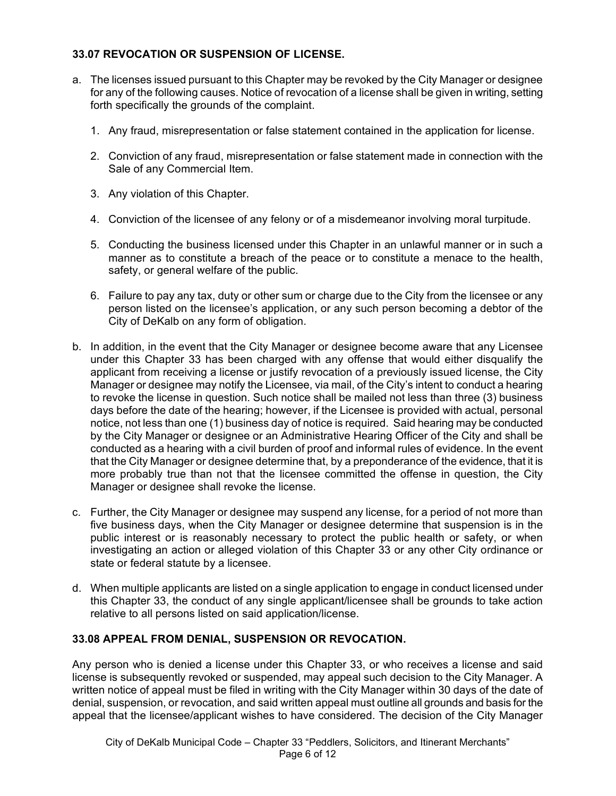### **33.07 REVOCATION OR SUSPENSION OF LICENSE.**

- a. The licenses issued pursuant to this Chapter may be revoked by the City Manager or designee for any of the following causes. Notice of revocation of a license shall be given in writing, setting forth specifically the grounds of the complaint.
	- 1. Any fraud, misrepresentation or false statement contained in the application for license.
	- 2. Conviction of any fraud, misrepresentation or false statement made in connection with the Sale of any Commercial Item.
	- 3. Any violation of this Chapter.
	- 4. Conviction of the licensee of any felony or of a misdemeanor involving moral turpitude.
	- 5. Conducting the business licensed under this Chapter in an unlawful manner or in such a manner as to constitute a breach of the peace or to constitute a menace to the health, safety, or general welfare of the public.
	- 6. Failure to pay any tax, duty or other sum or charge due to the City from the licensee or any person listed on the licensee's application, or any such person becoming a debtor of the City of DeKalb on any form of obligation.
- b. In addition, in the event that the City Manager or designee become aware that any Licensee under this Chapter 33 has been charged with any offense that would either disqualify the applicant from receiving a license or justify revocation of a previously issued license, the City Manager or designee may notify the Licensee, via mail, of the City's intent to conduct a hearing to revoke the license in question. Such notice shall be mailed not less than three (3) business days before the date of the hearing; however, if the Licensee is provided with actual, personal notice, not less than one (1) business day of notice is required. Said hearing may be conducted by the City Manager or designee or an Administrative Hearing Officer of the City and shall be conducted as a hearing with a civil burden of proof and informal rules of evidence. In the event that the City Manager or designee determine that, by a preponderance of the evidence, that it is more probably true than not that the licensee committed the offense in question, the City Manager or designee shall revoke the license.
- c. Further, the City Manager or designee may suspend any license, for a period of not more than five business days, when the City Manager or designee determine that suspension is in the public interest or is reasonably necessary to protect the public health or safety, or when investigating an action or alleged violation of this Chapter 33 or any other City ordinance or state or federal statute by a licensee.
- d. When multiple applicants are listed on a single application to engage in conduct licensed under this Chapter 33, the conduct of any single applicant/licensee shall be grounds to take action relative to all persons listed on said application/license.

### **33.08 APPEAL FROM DENIAL, SUSPENSION OR REVOCATION.**

Any person who is denied a license under this Chapter 33, or who receives a license and said license is subsequently revoked or suspended, may appeal such decision to the City Manager. A written notice of appeal must be filed in writing with the City Manager within 30 days of the date of denial, suspension, or revocation, and said written appeal must outline all grounds and basis for the appeal that the licensee/applicant wishes to have considered. The decision of the City Manager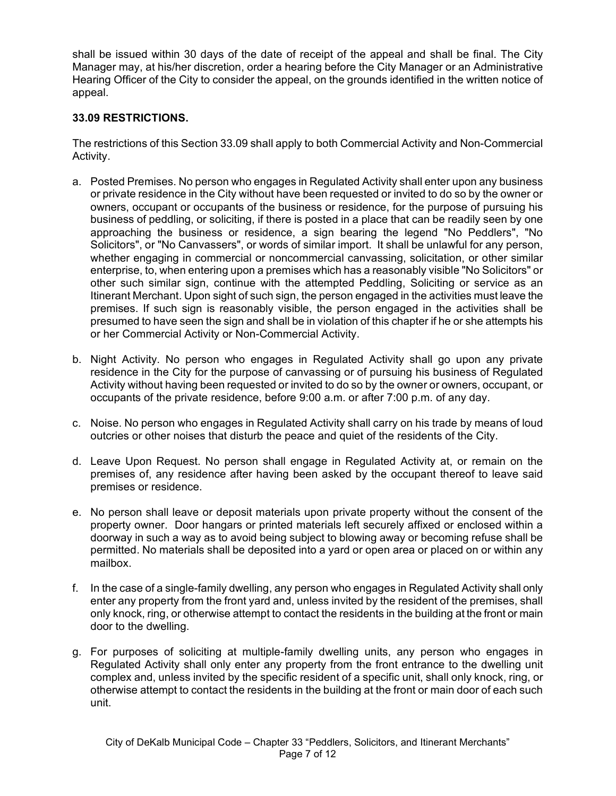shall be issued within 30 days of the date of receipt of the appeal and shall be final. The City Manager may, at his/her discretion, order a hearing before the City Manager or an Administrative Hearing Officer of the City to consider the appeal, on the grounds identified in the written notice of appeal.

### **33.09 RESTRICTIONS.**

The restrictions of this Section 33.09 shall apply to both Commercial Activity and Non-Commercial Activity.

- a. Posted Premises. No person who engages in Regulated Activity shall enter upon any business or private residence in the City without have been requested or invited to do so by the owner or owners, occupant or occupants of the business or residence, for the purpose of pursuing his business of peddling, or soliciting, if there is posted in a place that can be readily seen by one approaching the business or residence, a sign bearing the legend "No Peddlers", "No Solicitors", or "No Canvassers", or words of similar import. It shall be unlawful for any person, whether engaging in commercial or noncommercial canvassing, solicitation, or other similar enterprise, to, when entering upon a premises which has a reasonably visible "No Solicitors" or other such similar sign, continue with the attempted Peddling, Soliciting or service as an Itinerant Merchant. Upon sight of such sign, the person engaged in the activities must leave the premises. If such sign is reasonably visible, the person engaged in the activities shall be presumed to have seen the sign and shall be in violation of this chapter if he or she attempts his or her Commercial Activity or Non-Commercial Activity.
- b. Night Activity. No person who engages in Regulated Activity shall go upon any private residence in the City for the purpose of canvassing or of pursuing his business of Regulated Activity without having been requested or invited to do so by the owner or owners, occupant, or occupants of the private residence, before 9:00 a.m. or after 7:00 p.m. of any day.
- c. Noise. No person who engages in Regulated Activity shall carry on his trade by means of loud outcries or other noises that disturb the peace and quiet of the residents of the City.
- d. Leave Upon Request. No person shall engage in Regulated Activity at, or remain on the premises of, any residence after having been asked by the occupant thereof to leave said premises or residence.
- e. No person shall leave or deposit materials upon private property without the consent of the property owner. Door hangars or printed materials left securely affixed or enclosed within a doorway in such a way as to avoid being subject to blowing away or becoming refuse shall be permitted. No materials shall be deposited into a yard or open area or placed on or within any mailbox.
- f. In the case of a single-family dwelling, any person who engages in Regulated Activity shall only enter any property from the front yard and, unless invited by the resident of the premises, shall only knock, ring, or otherwise attempt to contact the residents in the building at the front or main door to the dwelling.
- g. For purposes of soliciting at multiple-family dwelling units, any person who engages in Regulated Activity shall only enter any property from the front entrance to the dwelling unit complex and, unless invited by the specific resident of a specific unit, shall only knock, ring, or otherwise attempt to contact the residents in the building at the front or main door of each such unit.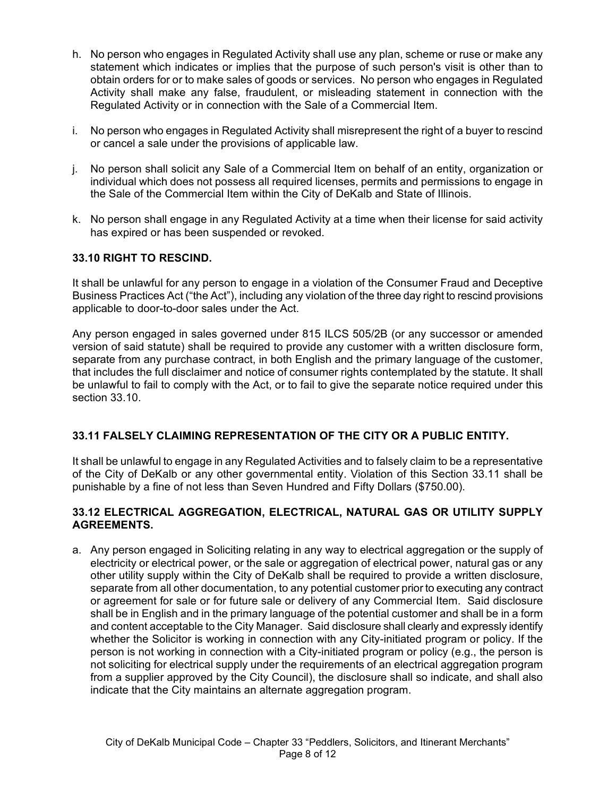- h. No person who engages in Regulated Activity shall use any plan, scheme or ruse or make any statement which indicates or implies that the purpose of such person's visit is other than to obtain orders for or to make sales of goods or services. No person who engages in Regulated Activity shall make any false, fraudulent, or misleading statement in connection with the Regulated Activity or in connection with the Sale of a Commercial Item.
- i. No person who engages in Regulated Activity shall misrepresent the right of a buyer to rescind or cancel a sale under the provisions of applicable law.
- j. No person shall solicit any Sale of a Commercial Item on behalf of an entity, organization or individual which does not possess all required licenses, permits and permissions to engage in the Sale of the Commercial Item within the City of DeKalb and State of Illinois.
- k. No person shall engage in any Regulated Activity at a time when their license for said activity has expired or has been suspended or revoked.

### **33.10 RIGHT TO RESCIND.**

It shall be unlawful for any person to engage in a violation of the Consumer Fraud and Deceptive Business Practices Act ("the Act"), including any violation of the three day right to rescind provisions applicable to door-to-door sales under the Act.

Any person engaged in sales governed under 815 ILCS 505/2B (or any successor or amended version of said statute) shall be required to provide any customer with a written disclosure form, separate from any purchase contract, in both English and the primary language of the customer, that includes the full disclaimer and notice of consumer rights contemplated by the statute. It shall be unlawful to fail to comply with the Act, or to fail to give the separate notice required under this section 33.10.

### **33.11 FALSELY CLAIMING REPRESENTATION OF THE CITY OR A PUBLIC ENTITY.**

It shall be unlawful to engage in any Regulated Activities and to falsely claim to be a representative of the City of DeKalb or any other governmental entity. Violation of this Section 33.11 shall be punishable by a fine of not less than Seven Hundred and Fifty Dollars (\$750.00).

### **33.12 ELECTRICAL AGGREGATION, ELECTRICAL, NATURAL GAS OR UTILITY SUPPLY AGREEMENTS.**

a. Any person engaged in Soliciting relating in any way to electrical aggregation or the supply of electricity or electrical power, or the sale or aggregation of electrical power, natural gas or any other utility supply within the City of DeKalb shall be required to provide a written disclosure, separate from all other documentation, to any potential customer prior to executing any contract or agreement for sale or for future sale or delivery of any Commercial Item. Said disclosure shall be in English and in the primary language of the potential customer and shall be in a form and content acceptable to the City Manager. Said disclosure shall clearly and expressly identify whether the Solicitor is working in connection with any City-initiated program or policy. If the person is not working in connection with a City-initiated program or policy (e.g., the person is not soliciting for electrical supply under the requirements of an electrical aggregation program from a supplier approved by the City Council), the disclosure shall so indicate, and shall also indicate that the City maintains an alternate aggregation program.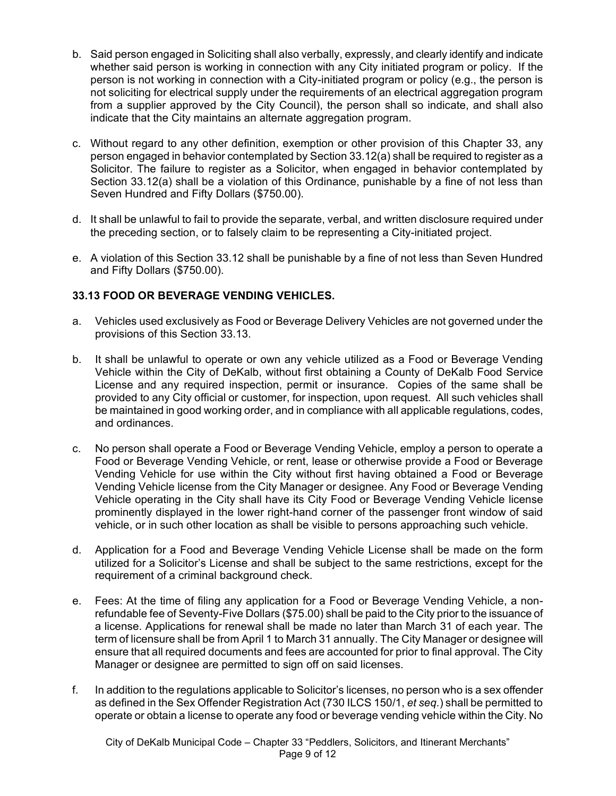- b. Said person engaged in Soliciting shall also verbally, expressly, and clearly identify and indicate whether said person is working in connection with any City initiated program or policy. If the person is not working in connection with a City-initiated program or policy (e.g., the person is not soliciting for electrical supply under the requirements of an electrical aggregation program from a supplier approved by the City Council), the person shall so indicate, and shall also indicate that the City maintains an alternate aggregation program.
- c. Without regard to any other definition, exemption or other provision of this Chapter 33, any person engaged in behavior contemplated by Section 33.12(a) shall be required to register as a Solicitor. The failure to register as a Solicitor, when engaged in behavior contemplated by Section 33.12(a) shall be a violation of this Ordinance, punishable by a fine of not less than Seven Hundred and Fifty Dollars (\$750.00).
- d. It shall be unlawful to fail to provide the separate, verbal, and written disclosure required under the preceding section, or to falsely claim to be representing a City-initiated project.
- e. A violation of this Section 33.12 shall be punishable by a fine of not less than Seven Hundred and Fifty Dollars (\$750.00).

# **33.13 FOOD OR BEVERAGE VENDING VEHICLES.**

- a. Vehicles used exclusively as Food or Beverage Delivery Vehicles are not governed under the provisions of this Section 33.13.
- b. It shall be unlawful to operate or own any vehicle utilized as a Food or Beverage Vending Vehicle within the City of DeKalb, without first obtaining a County of DeKalb Food Service License and any required inspection, permit or insurance. Copies of the same shall be provided to any City official or customer, for inspection, upon request. All such vehicles shall be maintained in good working order, and in compliance with all applicable regulations, codes, and ordinances.
- c. No person shall operate a Food or Beverage Vending Vehicle, employ a person to operate a Food or Beverage Vending Vehicle, or rent, lease or otherwise provide a Food or Beverage Vending Vehicle for use within the City without first having obtained a Food or Beverage Vending Vehicle license from the City Manager or designee. Any Food or Beverage Vending Vehicle operating in the City shall have its City Food or Beverage Vending Vehicle license prominently displayed in the lower right-hand corner of the passenger front window of said vehicle, or in such other location as shall be visible to persons approaching such vehicle.
- d. Application for a Food and Beverage Vending Vehicle License shall be made on the form utilized for a Solicitor's License and shall be subject to the same restrictions, except for the requirement of a criminal background check.
- e. Fees: At the time of filing any application for a Food or Beverage Vending Vehicle, a nonrefundable fee of Seventy-Five Dollars (\$75.00) shall be paid to the City prior to the issuance of a license. Applications for renewal shall be made no later than March 31 of each year. The term of licensure shall be from April 1 to March 31 annually. The City Manager or designee will ensure that all required documents and fees are accounted for prior to final approval. The City Manager or designee are permitted to sign off on said licenses.
- f. In addition to the regulations applicable to Solicitor's licenses, no person who is a sex offender as defined in the Sex Offender Registration Act (730 ILCS 150/1, *et seq.*) shall be permitted to operate or obtain a license to operate any food or beverage vending vehicle within the City. No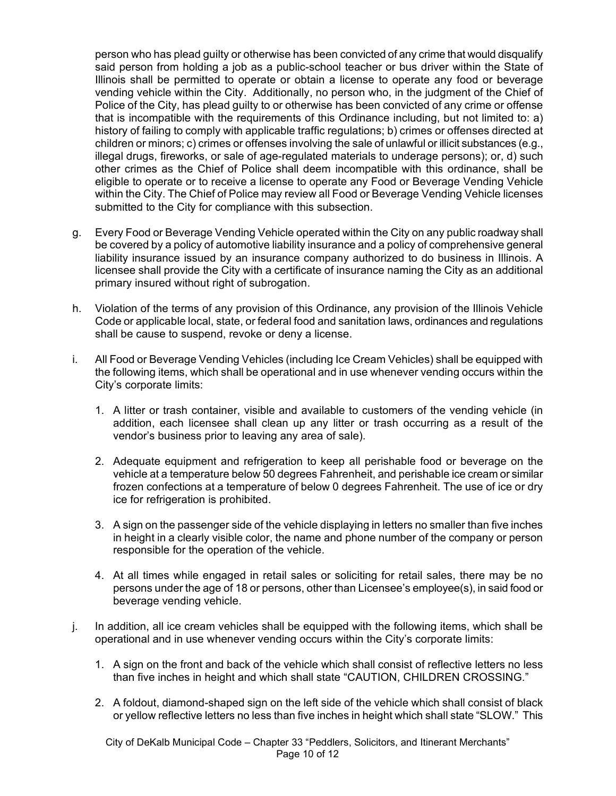person who has plead guilty or otherwise has been convicted of any crime that would disqualify said person from holding a job as a public-school teacher or bus driver within the State of Illinois shall be permitted to operate or obtain a license to operate any food or beverage vending vehicle within the City. Additionally, no person who, in the judgment of the Chief of Police of the City, has plead guilty to or otherwise has been convicted of any crime or offense that is incompatible with the requirements of this Ordinance including, but not limited to: a) history of failing to comply with applicable traffic regulations; b) crimes or offenses directed at children or minors; c) crimes or offenses involving the sale of unlawful or illicit substances (e.g., illegal drugs, fireworks, or sale of age-regulated materials to underage persons); or, d) such other crimes as the Chief of Police shall deem incompatible with this ordinance, shall be eligible to operate or to receive a license to operate any Food or Beverage Vending Vehicle within the City. The Chief of Police may review all Food or Beverage Vending Vehicle licenses submitted to the City for compliance with this subsection.

- g. Every Food or Beverage Vending Vehicle operated within the City on any public roadway shall be covered by a policy of automotive liability insurance and a policy of comprehensive general liability insurance issued by an insurance company authorized to do business in Illinois. A licensee shall provide the City with a certificate of insurance naming the City as an additional primary insured without right of subrogation.
- h. Violation of the terms of any provision of this Ordinance, any provision of the Illinois Vehicle Code or applicable local, state, or federal food and sanitation laws, ordinances and regulations shall be cause to suspend, revoke or deny a license.
- i. All Food or Beverage Vending Vehicles (including Ice Cream Vehicles) shall be equipped with the following items, which shall be operational and in use whenever vending occurs within the City's corporate limits:
	- 1. A litter or trash container, visible and available to customers of the vending vehicle (in addition, each licensee shall clean up any litter or trash occurring as a result of the vendor's business prior to leaving any area of sale).
	- 2. Adequate equipment and refrigeration to keep all perishable food or beverage on the vehicle at a temperature below 50 degrees Fahrenheit, and perishable ice cream or similar frozen confections at a temperature of below 0 degrees Fahrenheit. The use of ice or dry ice for refrigeration is prohibited.
	- 3. A sign on the passenger side of the vehicle displaying in letters no smaller than five inches in height in a clearly visible color, the name and phone number of the company or person responsible for the operation of the vehicle.
	- 4. At all times while engaged in retail sales or soliciting for retail sales, there may be no persons under the age of 18 or persons, other than Licensee's employee(s), in said food or beverage vending vehicle.
- j. In addition, all ice cream vehicles shall be equipped with the following items, which shall be operational and in use whenever vending occurs within the City's corporate limits:
	- 1. A sign on the front and back of the vehicle which shall consist of reflective letters no less than five inches in height and which shall state "CAUTION, CHILDREN CROSSING."
	- 2. A foldout, diamond-shaped sign on the left side of the vehicle which shall consist of black or yellow reflective letters no less than five inches in height which shall state "SLOW." This

City of DeKalb Municipal Code – Chapter 33 "Peddlers, Solicitors, and Itinerant Merchants" Page 10 of 12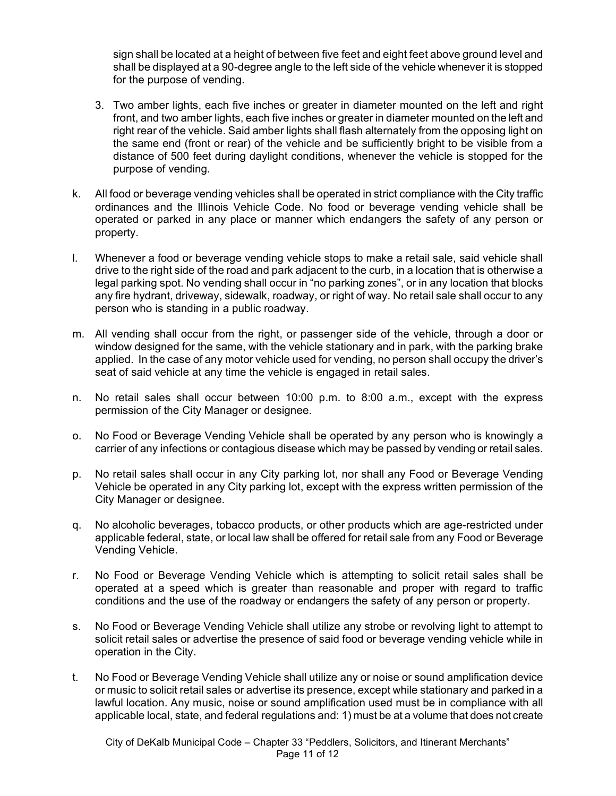sign shall be located at a height of between five feet and eight feet above ground level and shall be displayed at a 90-degree angle to the left side of the vehicle whenever it is stopped for the purpose of vending.

- 3. Two amber lights, each five inches or greater in diameter mounted on the left and right front, and two amber lights, each five inches or greater in diameter mounted on the left and right rear of the vehicle. Said amber lights shall flash alternately from the opposing light on the same end (front or rear) of the vehicle and be sufficiently bright to be visible from a distance of 500 feet during daylight conditions, whenever the vehicle is stopped for the purpose of vending.
- k. All food or beverage vending vehicles shall be operated in strict compliance with the City traffic ordinances and the Illinois Vehicle Code. No food or beverage vending vehicle shall be operated or parked in any place or manner which endangers the safety of any person or property.
- l. Whenever a food or beverage vending vehicle stops to make a retail sale, said vehicle shall drive to the right side of the road and park adjacent to the curb, in a location that is otherwise a legal parking spot. No vending shall occur in "no parking zones", or in any location that blocks any fire hydrant, driveway, sidewalk, roadway, or right of way. No retail sale shall occur to any person who is standing in a public roadway.
- m. All vending shall occur from the right, or passenger side of the vehicle, through a door or window designed for the same, with the vehicle stationary and in park, with the parking brake applied. In the case of any motor vehicle used for vending, no person shall occupy the driver's seat of said vehicle at any time the vehicle is engaged in retail sales.
- n. No retail sales shall occur between 10:00 p.m. to 8:00 a.m., except with the express permission of the City Manager or designee.
- o. No Food or Beverage Vending Vehicle shall be operated by any person who is knowingly a carrier of any infections or contagious disease which may be passed by vending or retail sales.
- p. No retail sales shall occur in any City parking lot, nor shall any Food or Beverage Vending Vehicle be operated in any City parking lot, except with the express written permission of the City Manager or designee.
- q. No alcoholic beverages, tobacco products, or other products which are age-restricted under applicable federal, state, or local law shall be offered for retail sale from any Food or Beverage Vending Vehicle.
- r. No Food or Beverage Vending Vehicle which is attempting to solicit retail sales shall be operated at a speed which is greater than reasonable and proper with regard to traffic conditions and the use of the roadway or endangers the safety of any person or property.
- s. No Food or Beverage Vending Vehicle shall utilize any strobe or revolving light to attempt to solicit retail sales or advertise the presence of said food or beverage vending vehicle while in operation in the City.
- t. No Food or Beverage Vending Vehicle shall utilize any or noise or sound amplification device or music to solicit retail sales or advertise its presence, except while stationary and parked in a lawful location. Any music, noise or sound amplification used must be in compliance with all applicable local, state, and federal regulations and: 1) must be at a volume that does not create